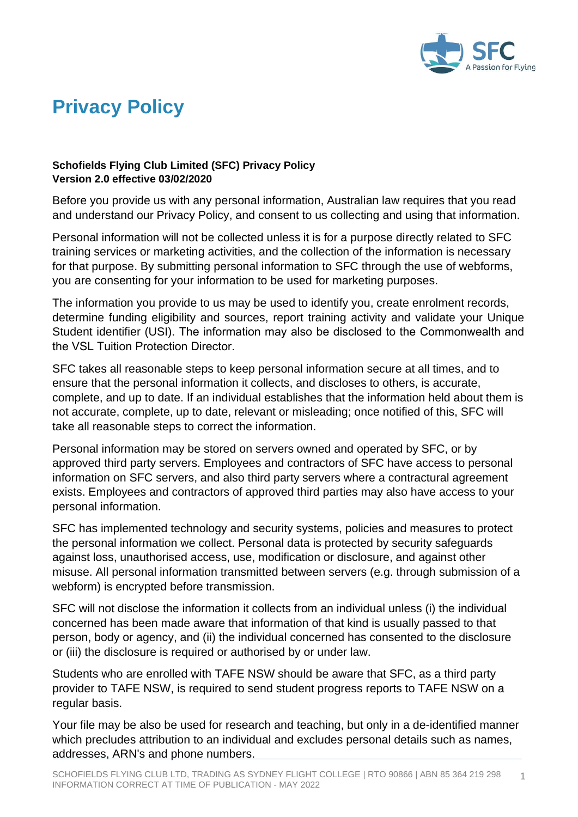

## **Privacy Policy**

## **Schofields Flying Club Limited (SFC) Privacy Policy Version 2.0 effective 03/02/2020**

Before you provide us with any personal information, Australian law requires that you read and understand our Privacy Policy, and consent to us collecting and using that information.

Personal information will not be collected unless it is for a purpose directly related to SFC training services or marketing activities, and the collection of the information is necessary for that purpose. By submitting personal information to SFC through the use of webforms, you are consenting for your information to be used for marketing purposes.

The information you provide to us may be used to identify you, create enrolment records, determine funding eligibility and sources, report training activity and validate your Unique Student identifier (USI). The information may also be disclosed to the Commonwealth and the VSL Tuition Protection Director.

SFC takes all reasonable steps to keep personal information secure at all times, and to ensure that the personal information it collects, and discloses to others, is accurate, complete, and up to date. If an individual establishes that the information held about them is not accurate, complete, up to date, relevant or misleading; once notified of this, SFC will take all reasonable steps to correct the information.

Personal information may be stored on servers owned and operated by SFC, or by approved third party servers. Employees and contractors of SFC have access to personal information on SFC servers, and also third party servers where a contractural agreement exists. Employees and contractors of approved third parties may also have access to your personal information.

SFC has implemented technology and security systems, policies and measures to protect the personal information we collect. Personal data is protected by security safeguards against loss, unauthorised access, use, modification or disclosure, and against other misuse. All personal information transmitted between servers (e.g. through submission of a webform) is encrypted before transmission.

SFC will not disclose the information it collects from an individual unless (i) the individual concerned has been made aware that information of that kind is usually passed to that person, body or agency, and (ii) the individual concerned has consented to the disclosure or (iii) the disclosure is required or authorised by or under law.

Students who are enrolled with TAFE NSW should be aware that SFC, as a third party provider to TAFE NSW, is required to send student progress reports to TAFE NSW on a regular basis.

Your file may be also be used for research and teaching, but only in a de-identified manner which precludes attribution to an individual and excludes personal details such as names, addresses, ARN's and phone numbers.